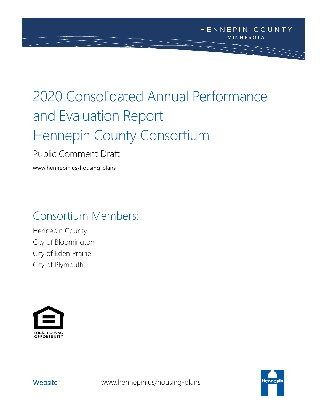# 2020 Consolidated Annual Performance and Evaluation Report Hennepin County Consortium

Public Comment Draft

www.hennepin.us/housing-plans

# Consortium Members:

Hennepin County City of Bloomington City of Eden Prairie City of Plymouth





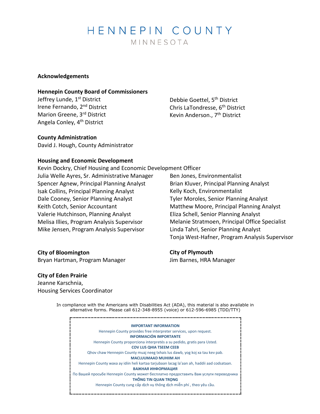# HENNEPIN COUNTY MINNESOTA

#### **Acknowledgements**

#### **Hennepin County Board of Commissioners**

Jeffrey Lunde, 1<sup>st</sup> District Irene Fernando, 2nd District Marion Greene, 3rd District Angela Conley, 4th District

Debbie Goettel, 5<sup>th</sup> District Chris LaTondresse, 6<sup>th</sup> District Kevin Anderson., 7<sup>th</sup> District

#### **County Administration**

David J. Hough, County Administrator

#### **Housing and Economic Development**

Kevin Dockry, Chief Housing and Economic Development Officer Julia Welle Ayres, Sr. Administrative Manager Spencer Agnew, Principal Planning Analyst Isak Collins, Principal Planning Analyst Dale Cooney, Senior Planning Analyst Keith Cotch, Senior Accountant Valerie Hutchinson, Planning Analyst Melisa Illies, Program Analysis Supervisor Mike Jensen, Program Analysis Supervisor

Ben Jones, Environmentalist Brian Kluver, Principal Planning Analyst Kelly Koch, Environmentalist Tyler Moroles, Senior Planning Analyst Matthew Moore, Principal Planning Analyst Eliza Schell, Senior Planning Analyst Melanie Stratmoen, Principal Office Specialist Linda Tahri, Senior Planning Analyst Tonja West-Hafner, Program Analysis Supervisor

# **City of Bloomington**

Bryan Hartman, Program Manager

**City of Plymouth** Jim Barnes, HRA Manager

#### **City of Eden Prairie**

Jeanne Karschnia, Housing Services Coordinator

> In compliance with the Americans with Disabilities Act (ADA), this material is also available in alternative forms. Please call 612-348-8955 (voice) or 612-596-6985 (TDD/TTY)

**IMPORTANT INFORMATION** Hennepin County provides free interpreter services, upon request. **INFORMACIÓN IMPORTANTE** Hennepin County proporciona interpretés a su pedido, gratis para Usted. **COV LUS QHIA TSEEM CEEB** Qhov chaw Hennepin County muaj neeg txhais lus dawb, yog koj xa tau kev pab. **MACLUUMAAD MUHIIM AH** Hennepin County waxa ay idiin heli kartaa tarjubaan lacag la'aan ah, haddii aad codsataan. **ВАЖНАЯ ИНФОРМАЦИЯ** По Вашей просьбе Hennepin County может бесплатно предоставить Вам услуги переводчика **THÔNG TIN QUAN TRỌNG** Hennepin County cung cấp dịch vụ thông dịch miễn phí , theo yêu cầu.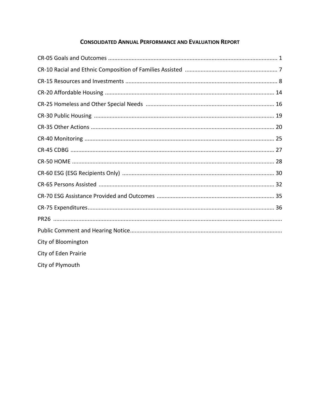### **CONSOLIDATED ANNUAL PERFORMANCE AND EVALUATION REPORT**

| City of Bloomington  |
|----------------------|
| City of Eden Prairie |
| City of Plymouth     |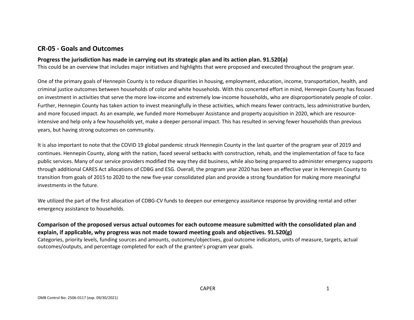### **CR-05 - Goals and Outcomes**

#### **Progress the jurisdiction has made in carrying out its strategic plan and its action plan. 91.520(a)**

This could be an overview that includes major initiatives and highlights that were proposed and executed throughout the program year.

One of the primary goals of Hennepin County is to reduce disparities in housing, employment, education, income, transportation, health, and criminal justice outcomes between households of color and white households. With this concerted effort in mind, Hennepin County has focused on investment in activities that serve the more low-income and extremely low-income households, who are disproportionately people of color. Further, Hennepin County has taken action to invest meaningfully in these activities, which means fewer contracts, less administrative burden, and more focused impact. As an example, we funded more Homebuyer Assistance and property acquisition in 2020, which are resourceintensive and help only a few households yet, make a deeper personal impact. This has resulted in serving fewer households than previous years, but having strong outcomes on community.

It is also important to note that the COVID 19 global pandemic struck Hennepin County in the last quarter of the program year of 2019 and continues. Hennepin County, along with the nation, faced several setbacks with construction, rehab, and the implementation of face to face public services. Many of our service providers modified the way they did business, while also being prepared to administer emergency supports through additional CARES Act allocations of CDBG and ESG. Overall, the program year 2020 has been an effective year in Hennepin County to transition from goals of 2015 to 2020 to the new five-year consolidated plan and provide a strong foundation for making more meaningful investments in the future.

We utilized the part of the first allocation of CDBG-CV funds to deepen our emergency asssitance response by providing rental and other emergency assistance to households.

### **Comparison of the proposed versus actual outcomes for each outcome measure submitted with the consolidated plan and explain, if applicable, why progress was not made toward meeting goals and objectives. 91.520(g)**

Categories, priority levels, funding sources and amounts, outcomes/objectives, goal outcome indicators, units of measure, targets, actual outcomes/outputs, and percentage completed for each of the grantee's program year goals.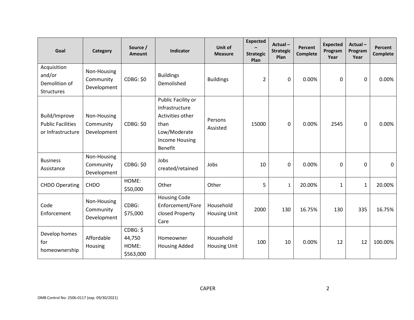| Goal                                                           | Category                                | Source /<br><b>Amount</b>                | Indicator                                                                                                                   | Unit of<br><b>Measure</b>        | <b>Expected</b><br><b>Strategic</b><br>Plan | Actual-<br><b>Strategic</b><br>Plan | Percent<br><b>Complete</b> | <b>Expected</b><br>Program<br>Year | Actual-<br>Program<br>Year | Percent<br><b>Complete</b> |
|----------------------------------------------------------------|-----------------------------------------|------------------------------------------|-----------------------------------------------------------------------------------------------------------------------------|----------------------------------|---------------------------------------------|-------------------------------------|----------------------------|------------------------------------|----------------------------|----------------------------|
| Acquisition<br>and/or<br>Demolition of<br>Structures           | Non-Housing<br>Community<br>Development | <b>CDBG: \$0</b>                         | <b>Buildings</b><br>Demolished                                                                                              | <b>Buildings</b>                 | $\overline{2}$                              | 0                                   | 0.00%                      | 0                                  | 0                          | 0.00%                      |
| Build/Improve<br><b>Public Facilities</b><br>or Infrastructure | Non-Housing<br>Community<br>Development | <b>CDBG: \$0</b>                         | Public Facility or<br>Infrastructure<br>Activities other<br>than<br>Low/Moderate<br><b>Income Housing</b><br><b>Benefit</b> | Persons<br>Assisted              | 15000                                       | 0                                   | 0.00%                      | 2545                               | 0                          | 0.00%                      |
| <b>Business</b><br>Assistance                                  | Non-Housing<br>Community<br>Development | <b>CDBG: \$0</b>                         | Jobs<br>created/retained                                                                                                    | Jobs                             | 10                                          | 0                                   | 0.00%                      | 0                                  | 0                          | $\mathbf 0$                |
| <b>CHDO Operating</b>                                          | <b>CHDO</b>                             | HOME:<br>\$50,000                        | Other                                                                                                                       | Other                            | 5                                           | $\mathbf{1}$                        | 20.00%                     | $\mathbf{1}$                       | $\mathbf{1}$               | 20.00%                     |
| Code<br>Enforcement                                            | Non-Housing<br>Community<br>Development | CDBG:<br>\$75,000                        | <b>Housing Code</b><br>Enforcement/Fore<br>closed Property<br>Care                                                          | Household<br><b>Housing Unit</b> | 2000                                        | 130                                 | 16.75%                     | 130                                | 335                        | 16.75%                     |
| Develop homes<br>for<br>homeownership                          | Affordable<br>Housing                   | CDBG: \$<br>44,750<br>HOME:<br>\$563,000 | Homeowner<br><b>Housing Added</b>                                                                                           | Household<br><b>Housing Unit</b> | 100                                         | 10                                  | 0.00%                      | 12                                 | 12                         | 100.00%                    |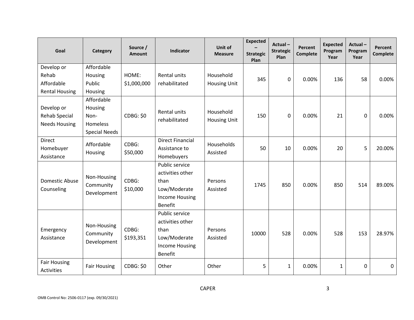| Goal                                                | Category                                                          | Source /<br><b>Amount</b> | Indicator                                                                                             | Unit of<br><b>Measure</b>        | <b>Expected</b><br><b>Strategic</b><br>Plan | Actual-<br><b>Strategic</b><br>Plan | <b>Percent</b><br><b>Complete</b> | <b>Expected</b><br>Program<br>Year | Actual-<br>Program<br>Year | <b>Percent</b><br><b>Complete</b> |
|-----------------------------------------------------|-------------------------------------------------------------------|---------------------------|-------------------------------------------------------------------------------------------------------|----------------------------------|---------------------------------------------|-------------------------------------|-----------------------------------|------------------------------------|----------------------------|-----------------------------------|
| Develop or<br>Rehab                                 | Affordable<br>Housing                                             | HOME:                     | Rental units                                                                                          | Household                        | 345                                         | $\mathbf 0$                         | 0.00%                             | 136                                | 58                         | 0.00%                             |
| Affordable<br><b>Rental Housing</b>                 | Public<br>Housing                                                 | \$1,000,000               | rehabilitated                                                                                         | <b>Housing Unit</b>              |                                             |                                     |                                   |                                    |                            |                                   |
| Develop or<br>Rehab Special<br><b>Needs Housing</b> | Affordable<br>Housing<br>Non-<br>Homeless<br><b>Special Needs</b> | <b>CDBG: \$0</b>          | Rental units<br>rehabilitated                                                                         | Household<br><b>Housing Unit</b> | 150                                         | $\mathbf 0$                         | 0.00%                             | 21                                 | 0                          | 0.00%                             |
| <b>Direct</b><br>Homebuyer<br>Assistance            | Affordable<br>Housing                                             | CDBG:<br>\$50,000         | <b>Direct Financial</b><br>Assistance to<br>Homebuyers                                                | Households<br>Assisted           | 50                                          | 10                                  | 0.00%                             | 20                                 | 5                          | 20.00%                            |
| <b>Domestic Abuse</b><br>Counseling                 | Non-Housing<br>Community<br>Development                           | CDBG:<br>\$10,000         | Public service<br>activities other<br>than<br>Low/Moderate<br><b>Income Housing</b><br><b>Benefit</b> | Persons<br>Assisted              | 1745                                        | 850                                 | 0.00%                             | 850                                | 514                        | 89.00%                            |
| Emergency<br>Assistance                             | Non-Housing<br>Community<br>Development                           | CDBG:<br>\$193,351        | Public service<br>activities other<br>than<br>Low/Moderate<br><b>Income Housing</b><br>Benefit        | Persons<br>Assisted              | 10000                                       | 528                                 | 0.00%                             | 528                                | 153                        | 28.97%                            |
| <b>Fair Housing</b><br>Activities                   | <b>Fair Housing</b>                                               | <b>CDBG: \$0</b>          | Other                                                                                                 | Other                            | 5                                           | $\mathbf{1}$                        | 0.00%                             | 1                                  | 0                          | $\mathbf 0$                       |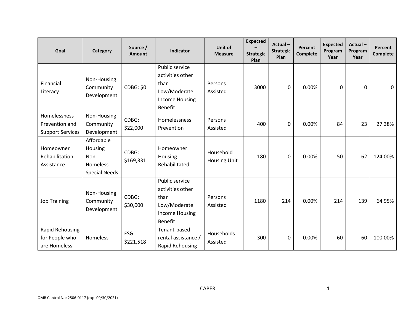| Goal                                                      | Category                                                          | Source /<br><b>Amount</b> | Indicator                                                                                             | Unit of<br><b>Measure</b>        | <b>Expected</b><br><b>Strategic</b><br>Plan | Actual-<br><b>Strategic</b><br>Plan | Percent<br><b>Complete</b> | <b>Expected</b><br>Program<br>Year | Actual-<br>Program<br>Year | Percent<br><b>Complete</b> |
|-----------------------------------------------------------|-------------------------------------------------------------------|---------------------------|-------------------------------------------------------------------------------------------------------|----------------------------------|---------------------------------------------|-------------------------------------|----------------------------|------------------------------------|----------------------------|----------------------------|
| Financial<br>Literacy                                     | Non-Housing<br>Community<br>Development                           | <b>CDBG: \$0</b>          | Public service<br>activities other<br>than<br>Low/Moderate<br><b>Income Housing</b><br><b>Benefit</b> | Persons<br>Assisted              | 3000                                        | $\mathbf 0$                         | 0.00%                      | 0                                  | 0                          | 0                          |
| Homelessness<br>Prevention and<br><b>Support Services</b> | Non-Housing<br>Community<br>Development                           | CDBG:<br>\$22,000         | Homelessness<br>Prevention                                                                            | Persons<br>Assisted              | 400                                         | $\mathbf 0$                         | 0.00%                      | 84                                 | 23                         | 27.38%                     |
| Homeowner<br>Rehabilitation<br>Assistance                 | Affordable<br>Housing<br>Non-<br>Homeless<br><b>Special Needs</b> | CDBG:<br>\$169,331        | Homeowner<br>Housing<br>Rehabilitated                                                                 | Household<br><b>Housing Unit</b> | 180                                         | $\mathbf 0$                         | 0.00%                      | 50                                 | 62                         | 124.00%                    |
| <b>Job Training</b>                                       | Non-Housing<br>Community<br>Development                           | CDBG:<br>\$30,000         | Public service<br>activities other<br>than<br>Low/Moderate<br>Income Housing<br><b>Benefit</b>        | Persons<br>Assisted              | 1180                                        | 214                                 | 0.00%                      | 214                                | 139                        | 64.95%                     |
| <b>Rapid Rehousing</b><br>for People who<br>are Homeless  | <b>Homeless</b>                                                   | ESG:<br>\$221,518         | Tenant-based<br>rental assistance /<br><b>Rapid Rehousing</b>                                         | Households<br>Assisted           | 300                                         | $\mathbf 0$                         | 0.00%                      | 60                                 | 60                         | 100.00%                    |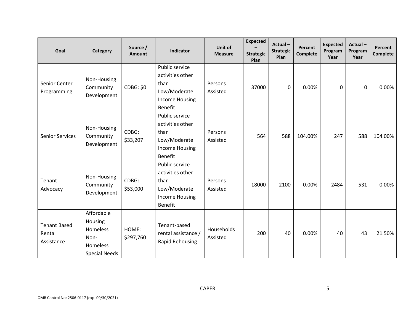| Goal                                        | Category                                                                      | Source /<br>Amount | Indicator                                                                                             | Unit of<br><b>Measure</b> | <b>Expected</b><br><b>Strategic</b><br>Plan | Actual-<br><b>Strategic</b><br>Plan | Percent<br><b>Complete</b> | <b>Expected</b><br>Program<br>Year | Actual-<br>Program<br>Year | Percent<br><b>Complete</b> |
|---------------------------------------------|-------------------------------------------------------------------------------|--------------------|-------------------------------------------------------------------------------------------------------|---------------------------|---------------------------------------------|-------------------------------------|----------------------------|------------------------------------|----------------------------|----------------------------|
| Senior Center<br>Programming                | Non-Housing<br>Community<br>Development                                       | <b>CDBG: \$0</b>   | Public service<br>activities other<br>than<br>Low/Moderate<br><b>Income Housing</b><br>Benefit        | Persons<br>Assisted       | 37000                                       | 0                                   | 0.00%                      | 0                                  | 0                          | 0.00%                      |
| <b>Senior Services</b>                      | Non-Housing<br>Community<br>Development                                       | CDBG:<br>\$33,207  | Public service<br>activities other<br>than<br>Low/Moderate<br><b>Income Housing</b><br>Benefit        | Persons<br>Assisted       | 564                                         | 588                                 | 104.00%                    | 247                                | 588                        | 104.00%                    |
| Tenant<br>Advocacy                          | Non-Housing<br>Community<br>Development                                       | CDBG:<br>\$53,000  | Public service<br>activities other<br>than<br>Low/Moderate<br><b>Income Housing</b><br><b>Benefit</b> | Persons<br>Assisted       | 18000                                       | 2100                                | 0.00%                      | 2484                               | 531                        | 0.00%                      |
| <b>Tenant Based</b><br>Rental<br>Assistance | Affordable<br>Housing<br>Homeless<br>Non-<br>Homeless<br><b>Special Needs</b> | HOME:<br>\$297,760 | Tenant-based<br>rental assistance /<br><b>Rapid Rehousing</b>                                         | Households<br>Assisted    | 200                                         | 40                                  | 0.00%                      | 40                                 | 43                         | 21.50%                     |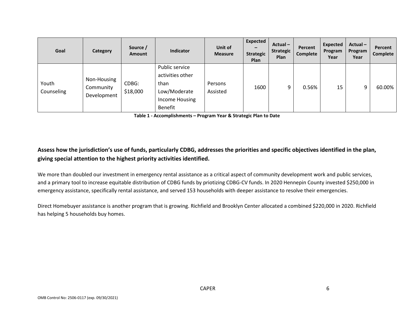| Goal                | <b>Category</b>                         | Source /<br>Amount | Indicator                                                                               | Unit of<br><b>Measure</b> | <b>Expected</b><br>$\overline{\phantom{0}}$<br><b>Strategic</b><br><b>Plan</b> | Actual-<br><b>Strategic</b><br>Plan | Percent<br>Complete | Expected<br>Program<br>Year | Actual-<br>Program<br>Year | Percent<br>Complete |
|---------------------|-----------------------------------------|--------------------|-----------------------------------------------------------------------------------------|---------------------------|--------------------------------------------------------------------------------|-------------------------------------|---------------------|-----------------------------|----------------------------|---------------------|
| Youth<br>Counseling | Non-Housing<br>Community<br>Development | CDBG:<br>\$18,000  | Public service<br>activities other<br>than<br>Low/Moderate<br>Income Housing<br>Benefit | Persons<br>Assisted       | 1600                                                                           | 9                                   | 0.56%               | 15                          | 9                          | 60.00%              |

**Table 1 - Accomplishments – Program Year & Strategic Plan to Date**

### **Assess how the jurisdiction's use of funds, particularly CDBG, addresses the priorities and specific objectives identified in the plan, giving special attention to the highest priority activities identified.**

We more than doubled our investment in emergency rental assistance as a critical aspect of community development work and public services, and a primary tool to increase equitable distribution of CDBG funds by priotizing CDBG-CV funds. In 2020 Hennepin County invested \$250,000 in emergency assistance, specifically rental assistance, and served 153 households with deeper assistance to resolve their emergencies.

Direct Homebuyer assistance is another program that is growing. Richfield and Brooklyn Center allocated a combined \$220,000 in 2020. Richfield has helping 5 households buy homes.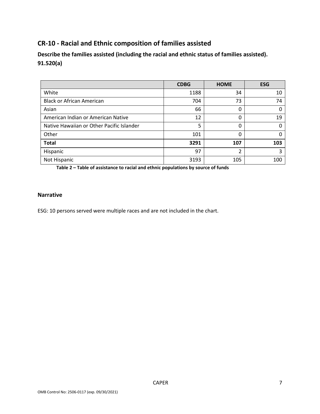### **CR-10 - Racial and Ethnic composition of families assisted**

**Describe the families assisted (including the racial and ethnic status of families assisted). 91.520(a)** 

|                                           | <b>CDBG</b> | <b>HOME</b> | <b>ESG</b> |
|-------------------------------------------|-------------|-------------|------------|
| White                                     | 1188        | 34          | 10         |
| <b>Black or African American</b>          | 704         | 73          | 74         |
| Asian                                     | 66          | 0           | 0          |
| American Indian or American Native        | 12          | 0           | 19         |
| Native Hawaiian or Other Pacific Islander | 5           | 0           | 0          |
| Other                                     | 101         | 0           | 0          |
| <b>Total</b>                              | 3291        | 107         | 103        |
| Hispanic                                  | 97          | ำ           | 3          |
| Not Hispanic                              | 3193        | 105         | 100        |

**Table 2 – Table of assistance to racial and ethnic populations by source of funds**

#### **Narrative**

ESG: 10 persons served were multiple races and are not included in the chart.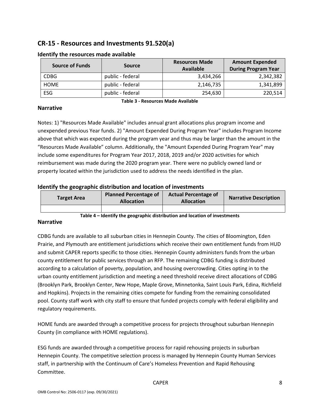### **CR-15 - Resources and Investments 91.520(a)**

| <b>Source of Funds</b> | <b>Source</b>    |           | <b>Amount Expended</b><br><b>During Program Year</b> |  |  |
|------------------------|------------------|-----------|------------------------------------------------------|--|--|
| <b>CDBG</b>            | public - federal | 3,434,266 | 2,342,382                                            |  |  |
| <b>HOME</b>            | public - federal | 2,146,735 | 1,341,899                                            |  |  |
| ESG                    | public - federal | 254,630   | 220,514                                              |  |  |

#### **Identify the resources made available**

#### **Narrative**

**Table 3 - Resources Made Available**

Notes: 1) "Resources Made Available" includes annual grant allocations plus program income and unexpended previous Year funds. 2) "Amount Expended During Program Year" includes Program Income above that which was expected during the program year and thus may be larger than the amount in the "Resources Made Available" column. Additionally, the "Amount Expended During Program Year" may include some expenditures for Program Year 2017, 2018, 2019 and/or 2020 activities for which reimbursement was made during the 2020 program year. There were no publicly owned land or property located within the jurisdiction used to address the needs identified in the plan.

#### **Identify the geographic distribution and location of investments**

| <b>Target Area</b> | <b>Planned Percentage of</b><br><b>Allocation</b> |  | <b>Narrative Description</b> |
|--------------------|---------------------------------------------------|--|------------------------------|
|                    |                                                   |  |                              |

**Table 4 – Identify the geographic distribution and location of investments**

#### **Narrative**

CDBG funds are available to all suburban cities in Hennepin County. The cities of Bloomington, Eden Prairie, and Plymouth are entitlement jurisdictions which receive their own entitlement funds from HUD and submit CAPER reports specific to those cities. Hennepin County administers funds from the urban county entitlement for public services through an RFP. The remaining CDBG funding is distributed according to a calculation of poverty, population, and housing overcrowding. Cities opting in to the urban county entitlement jurisdiction and meeting a need threshold receive direct allocations of CDBG (Brooklyn Park, Brooklyn Center, New Hope, Maple Grove, Minnetonka, Saint Louis Park, Edina, Richfield and Hopkins). Projects in the remaining cities compete for funding from the remaining consolidated pool. County staff work with city staff to ensure that funded projects comply with federal eligibility and regulatory requirements.

HOME funds are awarded through a competitive process for projects throughout suburban Hennepin County (in compliance with HOME regulations).

ESG funds are awarded through a competitive process for rapid rehousing projects in suburban Hennepin County. The competitive selection process is managed by Hennepin County Human Services staff, in partnership with the Continuum of Care's Homeless Prevention and Rapid Rehousing Committee.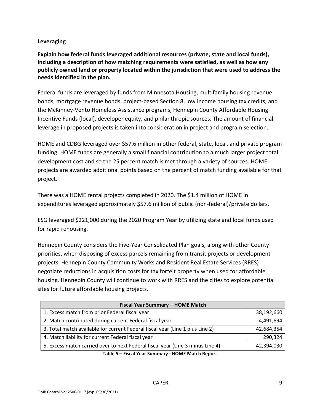### **Leveraging**

**Explain how federal funds leveraged additional resources (private, state and local funds), including a description of how matching requirements were satisfied, as well as how any publicly owned land or property located within the jurisdiction that were used to address the needs identified in the plan.**

Federal funds are leveraged by funds from Minnesota Housing, multifamily housing revenue bonds, mortgage revenue bonds, project-based Section 8, low income housing tax credits, and the McKinney-Vento Homeless Assistance programs, Hennepin County Affordable Housing Incentive Funds (local), developer equity, and philanthropic sources. The amount of financial leverage in proposed projects is taken into consideration in project and program selection.

HOME and CDBG leveraged over \$57.6 million in other federal, state, local, and private program funding. HOME funds are generally a small financial contribution to a much larger project total development cost and so the 25 percent match is met through a variety of sources. HOME projects are awarded additional points based on the percent of match funding available for that project.

There was a HOME rental projects completed in 2020. The \$1.4 million of HOME in expenditures leveraged approximately \$57.6 million of public (non-federal)/private dollars.

ESG leveraged \$221,000 during the 2020 Program Year by utilizing state and local funds used for rapid rehousing.

Hennepin County considers the Five-Year Consolidated Plan goals, along with other County priorities, when disposing of excess parcels remaining from transit projects or development projects. Hennepin County Community Works and Resident Real Estate Services (RRES) negotiate reductions in acquisition costs for tax forfeit property when used for affordable housing. Hennepin County will continue to work with RRES and the cities to explore potential sites for future affordable housing projects.

| Fiscal Year Summary - HOME Match                                               |            |
|--------------------------------------------------------------------------------|------------|
| 1. Excess match from prior Federal fiscal year                                 | 38,192,660 |
| 2. Match contributed during current Federal fiscal year                        | 4,491,694  |
| 3. Total match available for current Federal fiscal year (Line 1 plus Line 2)  | 42,684,354 |
| 4. Match liability for current Federal fiscal year                             | 290,324    |
| 5. Excess match carried over to next Federal fiscal year (Line 3 minus Line 4) | 42,394,030 |

**Table 5 – Fiscal Year Summary - HOME Match Report**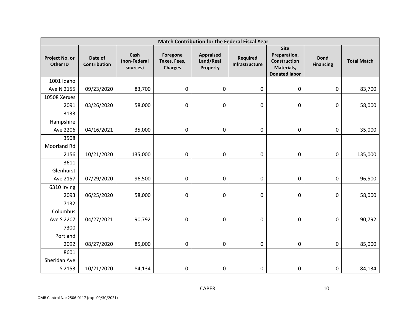| Match Contribution for the Federal Fiscal Year |                                |                                  |                                            |                                           |                                   |                                                                                   |                                 |                    |  |  |  |  |
|------------------------------------------------|--------------------------------|----------------------------------|--------------------------------------------|-------------------------------------------|-----------------------------------|-----------------------------------------------------------------------------------|---------------------------------|--------------------|--|--|--|--|
| Project No. or<br><b>Other ID</b>              | Date of<br><b>Contribution</b> | Cash<br>(non-Federal<br>sources) | Foregone<br>Taxes, Fees,<br><b>Charges</b> | <b>Appraised</b><br>Land/Real<br>Property | <b>Required</b><br>Infrastructure | <b>Site</b><br>Preparation,<br>Construction<br>Materials,<br><b>Donated labor</b> | <b>Bond</b><br><b>Financing</b> | <b>Total Match</b> |  |  |  |  |
| 1001 Idaho                                     |                                |                                  |                                            |                                           |                                   |                                                                                   |                                 |                    |  |  |  |  |
| Ave N 2155                                     | 09/23/2020                     | 83,700                           | 0                                          | 0                                         | $\pmb{0}$                         | 0                                                                                 | $\pmb{0}$                       | 83,700             |  |  |  |  |
| 10508 Xerxes                                   |                                |                                  |                                            |                                           |                                   |                                                                                   |                                 |                    |  |  |  |  |
| 2091                                           | 03/26/2020                     | 58,000                           | $\pmb{0}$                                  | 0                                         | 0                                 | 0                                                                                 | 0                               | 58,000             |  |  |  |  |
| 3133                                           |                                |                                  |                                            |                                           |                                   |                                                                                   |                                 |                    |  |  |  |  |
| Hampshire                                      |                                |                                  |                                            |                                           |                                   |                                                                                   |                                 |                    |  |  |  |  |
| Ave 2206                                       | 04/16/2021                     | 35,000                           | 0                                          | 0                                         | 0                                 | 0                                                                                 | 0                               | 35,000             |  |  |  |  |
| 3508                                           |                                |                                  |                                            |                                           |                                   |                                                                                   |                                 |                    |  |  |  |  |
| Moorland Rd                                    |                                |                                  |                                            |                                           |                                   |                                                                                   |                                 |                    |  |  |  |  |
| 2156                                           | 10/21/2020                     | 135,000                          | $\pmb{0}$                                  | 0                                         | $\pmb{0}$                         | 0                                                                                 | 0                               | 135,000            |  |  |  |  |
| 3611                                           |                                |                                  |                                            |                                           |                                   |                                                                                   |                                 |                    |  |  |  |  |
| Glenhurst                                      |                                |                                  |                                            |                                           |                                   |                                                                                   |                                 |                    |  |  |  |  |
| Ave 2157                                       | 07/29/2020                     | 96,500                           | 0                                          | 0                                         | $\pmb{0}$                         | 0                                                                                 | $\pmb{0}$                       | 96,500             |  |  |  |  |
| 6310 Irving                                    |                                |                                  |                                            |                                           |                                   |                                                                                   |                                 |                    |  |  |  |  |
| 2093                                           | 06/25/2020                     | 58,000                           | $\pmb{0}$                                  | 0                                         | 0                                 | 0                                                                                 | 0                               | 58,000             |  |  |  |  |
| 7132                                           |                                |                                  |                                            |                                           |                                   |                                                                                   |                                 |                    |  |  |  |  |
| Columbus                                       |                                |                                  |                                            |                                           |                                   |                                                                                   |                                 |                    |  |  |  |  |
| Ave S 2207                                     | 04/27/2021                     | 90,792                           | 0                                          | 0                                         | 0                                 | 0                                                                                 | 0                               | 90,792             |  |  |  |  |
| 7300                                           |                                |                                  |                                            |                                           |                                   |                                                                                   |                                 |                    |  |  |  |  |
| Portland                                       |                                |                                  |                                            |                                           |                                   |                                                                                   |                                 |                    |  |  |  |  |
| 2092                                           | 08/27/2020                     | 85,000                           | 0                                          | 0                                         | $\pmb{0}$                         | 0                                                                                 | 0                               | 85,000             |  |  |  |  |
| 8601                                           |                                |                                  |                                            |                                           |                                   |                                                                                   |                                 |                    |  |  |  |  |
| Sheridan Ave                                   |                                |                                  |                                            |                                           |                                   |                                                                                   |                                 |                    |  |  |  |  |
| S 2153                                         | 10/21/2020                     | 84,134                           | $\pmb{0}$                                  | 0                                         | 0                                 | 0                                                                                 | 0                               | 84,134             |  |  |  |  |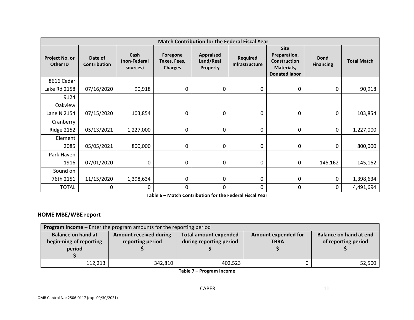|                            |                                |                                  |                                            | <b>Match Contribution for the Federal Fiscal Year</b> |                                   |                                                                                          |                                 |                    |
|----------------------------|--------------------------------|----------------------------------|--------------------------------------------|-------------------------------------------------------|-----------------------------------|------------------------------------------------------------------------------------------|---------------------------------|--------------------|
| Project No. or<br>Other ID | Date of<br><b>Contribution</b> | Cash<br>(non-Federal<br>sources) | Foregone<br>Taxes, Fees,<br><b>Charges</b> | <b>Appraised</b><br>Land/Real<br>Property             | <b>Required</b><br>Infrastructure | <b>Site</b><br>Preparation,<br><b>Construction</b><br>Materials,<br><b>Donated labor</b> | <b>Bond</b><br><b>Financing</b> | <b>Total Match</b> |
| 8616 Cedar                 |                                |                                  |                                            |                                                       |                                   |                                                                                          |                                 |                    |
| Lake Rd 2158               | 07/16/2020                     | 90,918                           | 0                                          | 0                                                     | 0                                 | 0                                                                                        | 0                               | 90,918             |
| 9124                       |                                |                                  |                                            |                                                       |                                   |                                                                                          |                                 |                    |
| Oakview                    |                                |                                  |                                            |                                                       |                                   |                                                                                          |                                 |                    |
| Lane N 2154                | 07/15/2020                     | 103,854                          | 0                                          | 0                                                     | 0                                 | 0                                                                                        | 0                               | 103,854            |
| Cranberry                  |                                |                                  |                                            |                                                       |                                   |                                                                                          |                                 |                    |
| <b>Ridge 2152</b>          | 05/13/2021                     | 1,227,000                        | 0                                          | 0                                                     | 0                                 | 0                                                                                        | 0                               | 1,227,000          |
| Element                    |                                |                                  |                                            |                                                       |                                   |                                                                                          |                                 |                    |
| 2085                       | 05/05/2021                     | 800,000                          | 0                                          | 0                                                     | 0                                 | 0                                                                                        | 0                               | 800,000            |
| Park Haven                 |                                |                                  |                                            |                                                       |                                   |                                                                                          |                                 |                    |
| 1916                       | 07/01/2020                     | 0                                | 0                                          | 0                                                     | 0                                 | $\mathbf 0$                                                                              | 145,162                         | 145,162            |
| Sound on                   |                                |                                  |                                            |                                                       |                                   |                                                                                          |                                 |                    |
| 76th 2151                  | 11/15/2020                     | 1,398,634                        | 0                                          | 0                                                     | 0                                 | 0                                                                                        | 0                               | 1,398,634          |
| <b>TOTAL</b>               | 0                              | 0                                | 0                                          | 0                                                     | 0                                 | 0                                                                                        | 0                               | 4,491,694          |

**Table 6 – Match Contribution for the Federal Fiscal Year**

### **HOME MBE/WBE report**

| <b>Program Income</b> - Enter the program amounts for the reporting period |                  |                              |                            |                        |
|----------------------------------------------------------------------------|------------------|------------------------------|----------------------------|------------------------|
| <b>Balance on hand at</b><br><b>Amount received during</b>                 |                  | <b>Total amount expended</b> | <b>Amount expended for</b> | Balance on hand at end |
| begin-ning of reporting                                                    | reporting period | during reporting period      | <b>TBRA</b>                | of reporting period    |
| period                                                                     |                  |                              |                            |                        |
|                                                                            |                  |                              |                            |                        |
| 112,213                                                                    | 342,810          | 402,523                      |                            | 52,500                 |

**Table 7 – Program Income**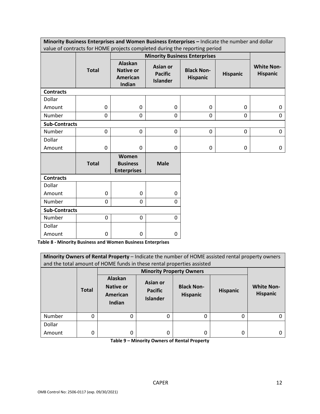| Minority Business Enterprises and Women Business Enterprises – Indicate the number and dollar |
|-----------------------------------------------------------------------------------------------|
| value of contracts for HOME projects completed during the reporting period                    |

|                      |              |                                                   |                                               | $\sim$ $\sim$ $\sim$<br><b>Minority Business Enterprises</b> |                 |                                      |
|----------------------|--------------|---------------------------------------------------|-----------------------------------------------|--------------------------------------------------------------|-----------------|--------------------------------------|
|                      | <b>Total</b> | Alaskan<br><b>Native or</b><br>American<br>Indian | Asian or<br><b>Pacific</b><br><b>Islander</b> | <b>Black Non-</b><br><b>Hispanic</b>                         | <b>Hispanic</b> | <b>White Non-</b><br><b>Hispanic</b> |
| <b>Contracts</b>     |              |                                                   |                                               |                                                              |                 |                                      |
| Dollar               |              |                                                   |                                               |                                                              |                 |                                      |
| Amount               | 0            | $\boldsymbol{0}$                                  | 0                                             | $\mathbf 0$                                                  | $\mathbf 0$     | 0                                    |
| Number               | 0            | 0                                                 | 0                                             | $\pmb{0}$                                                    | $\mathbf 0$     | 0                                    |
| <b>Sub-Contracts</b> |              |                                                   |                                               |                                                              |                 |                                      |
| Number               | 0            | $\mathbf 0$                                       | 0                                             | $\mathbf 0$                                                  | $\mathbf 0$     | $\mathbf 0$                          |
| Dollar               |              |                                                   |                                               |                                                              |                 |                                      |
| Amount               | 0            | $\mathbf 0$                                       | 0                                             | 0                                                            | 0               | 0                                    |
|                      | <b>Total</b> | Women<br><b>Business</b><br><b>Enterprises</b>    | <b>Male</b>                                   |                                                              |                 |                                      |
| <b>Contracts</b>     |              |                                                   |                                               |                                                              |                 |                                      |
| Dollar               |              |                                                   |                                               |                                                              |                 |                                      |
| Amount               | 0            | $\mathbf 0$                                       | 0                                             |                                                              |                 |                                      |
| Number               | 0            | $\mathbf 0$                                       | 0                                             |                                                              |                 |                                      |
| <b>Sub-Contracts</b> |              |                                                   |                                               |                                                              |                 |                                      |
| Number               | 0            | 0                                                 | 0                                             |                                                              |                 |                                      |
| Dollar               |              |                                                   |                                               |                                                              |                 |                                      |

**Table 8 - Minority Business and Women Business Enterprises**

Amount  $\begin{vmatrix} 0 & 0 \end{vmatrix}$  0 0

|        | Minority Owners of Rental Property - Indicate the number of HOME assisted rental property owners<br>and the total amount of HOME funds in these rental properties assisted |                                                   |                                               |                                      |                 |                                      |
|--------|----------------------------------------------------------------------------------------------------------------------------------------------------------------------------|---------------------------------------------------|-----------------------------------------------|--------------------------------------|-----------------|--------------------------------------|
|        |                                                                                                                                                                            |                                                   |                                               |                                      |                 |                                      |
|        |                                                                                                                                                                            |                                                   | <b>Minority Property Owners</b>               |                                      |                 |                                      |
|        | <b>Total</b>                                                                                                                                                               | Alaskan<br><b>Native or</b><br>American<br>Indian | Asian or<br><b>Pacific</b><br><b>Islander</b> | <b>Black Non-</b><br><b>Hispanic</b> | <b>Hispanic</b> | <b>White Non-</b><br><b>Hispanic</b> |
| Number | 0                                                                                                                                                                          | 0                                                 | 0                                             | 0                                    | 0               |                                      |
| Dollar |                                                                                                                                                                            |                                                   |                                               |                                      |                 |                                      |
| Amount | 0                                                                                                                                                                          | 0                                                 | 0                                             | 0                                    | 0               |                                      |

**Table 9 – Minority Owners of Rental Property**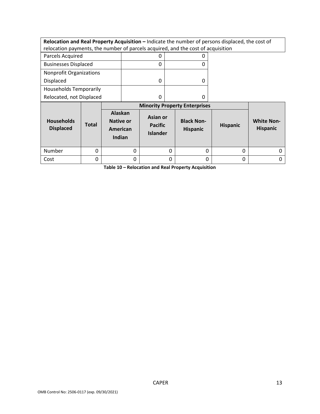**Relocation and Real Property Acquisition –** Indicate the number of persons displaced, the cost of relocation payments, the number of parcels acquired, and the cost of acquisition

| Parcels Acquired               |  |
|--------------------------------|--|
| <b>Businesses Displaced</b>    |  |
| <b>Nonprofit Organizations</b> |  |
| Displaced                      |  |
| <b>Households Temporarily</b>  |  |
| Relocated, not Displaced       |  |

|                                       |              | <b>Minority Property Enterprises</b>              |                                               |                                      |                 |                                      |
|---------------------------------------|--------------|---------------------------------------------------|-----------------------------------------------|--------------------------------------|-----------------|--------------------------------------|
| <b>Households</b><br><b>Displaced</b> | <b>Total</b> | Alaskan<br><b>Native or</b><br>American<br>Indian | Asian or<br><b>Pacific</b><br><b>Islander</b> | <b>Black Non-</b><br><b>Hispanic</b> | <b>Hispanic</b> | <b>White Non-</b><br><b>Hispanic</b> |
| Number                                |              | 0                                                 | 0                                             |                                      | 0               |                                      |
| Cost                                  |              | 0                                                 | 0                                             |                                      | 0               |                                      |

**Table 10 – Relocation and Real Property Acquisition**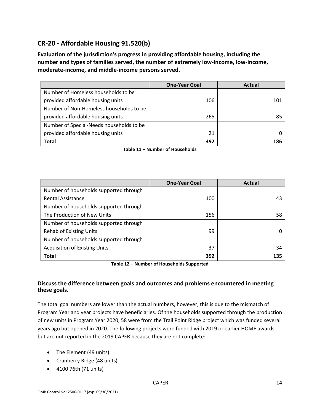### **CR-20 - Affordable Housing 91.520(b)**

**Evaluation of the jurisdiction's progress in providing affordable housing, including the number and types of families served, the number of extremely low-income, low-income, moderate-income, and middle-income persons served.**

|                                          | <b>One-Year Goal</b> | Actual |
|------------------------------------------|----------------------|--------|
| Number of Homeless households to be      |                      |        |
| provided affordable housing units        | 106                  | 101    |
| Number of Non-Homeless households to be  |                      |        |
| provided affordable housing units        | 265                  | 85     |
| Number of Special-Needs households to be |                      |        |
| provided affordable housing units        | 21                   |        |
| <b>Total</b>                             | 392                  | 186    |

**Table 11 – Number of Households**

|                                        | <b>One-Year Goal</b> | <b>Actual</b> |
|----------------------------------------|----------------------|---------------|
| Number of households supported through |                      |               |
| <b>Rental Assistance</b>               | 100                  | 43            |
| Number of households supported through |                      |               |
| The Production of New Units            | 156                  | 58            |
| Number of households supported through |                      |               |
| <b>Rehab of Existing Units</b>         | 99                   |               |
| Number of households supported through |                      |               |
| <b>Acquisition of Existing Units</b>   | 37                   | 34            |
| <b>Total</b>                           | 392                  | 135           |

**Table 12 – Number of Households Supported**

#### **Discuss the difference between goals and outcomes and problems encountered in meeting these goals.**

The total goal numbers are lower than the actual numbers, however, this is due to the mismatch of Program Year and year projects have beneficiaries. Of the households supported through the production of new units in Program Year 2020, 58 were from the Trail Point Ridge project which was funded several years ago but opened in 2020. The following projects were funded with 2019 or earlier HOME awards, but are not reported in the 2019 CAPER because they are not complete:

- The Element (49 units)
- Cranberry Ridge (48 units)
- 4100 76th (71 units)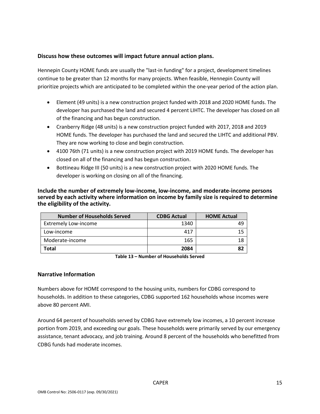#### **Discuss how these outcomes will impact future annual action plans.**

Hennepin County HOME funds are usually the "last-in funding" for a project, development timelines continue to be greater than 12 months for many projects. When feasible, Hennepin County will prioritize projects which are anticipated to be completed within the one-year period of the action plan.

- Element (49 units) is a new construction project funded with 2018 and 2020 HOME funds. The developer has purchased the land and secured 4 percent LIHTC. The developer has closed on all of the financing and has begun construction.
- Cranberry Ridge (48 units) is a new construction project funded with 2017, 2018 and 2019 HOME funds. The developer has purchased the land and secured the LIHTC and additional PBV. They are now working to close and begin construction.
- 4100 76th (71 units) is a new construction project with 2019 HOME funds. The developer has closed on all of the financing and has begun construction.
- Bottineau Ridge III (50 units) is a new construction project with 2020 HOME funds. The developer is working on closing on all of the financing.

#### **Include the number of extremely low-income, low-income, and moderate-income persons served by each activity where information on income by family size is required to determine the eligibility of the activity.**

| <b>Number of Households Served</b> | <b>CDBG Actual</b> | <b>HOME Actual</b> |
|------------------------------------|--------------------|--------------------|
| <b>Extremely Low-income</b>        | 1340               | 49                 |
| Low-income                         | 417                | 15                 |
| Moderate-income                    | 165                |                    |
| Total                              | 2084               |                    |

**Table 13 – Number of Households Served**

#### **Narrative Information**

Numbers above for HOME correspond to the housing units, numbers for CDBG correspond to households. In addition to these categories, CDBG supported 162 households whose incomes were above 80 percent AMI.

Around 64 percent of households served by CDBG have extremely low incomes, a 10 percent increase portion from 2019, and exceeding our goals. These households were primarily served by our emergency assistance, tenant advocacy, and job training. Around 8 percent of the households who benefitted from CDBG funds had moderate incomes.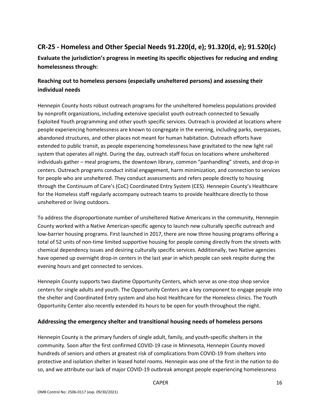### **CR-25 - Homeless and Other Special Needs 91.220(d, e); 91.320(d, e); 91.520(c)**

**Evaluate the jurisdiction's progress in meeting its specific objectives for reducing and ending homelessness through:**

### **Reaching out to homeless persons (especially unsheltered persons) and assessing their individual needs**

Hennepin County hosts robust outreach programs for the unsheltered homeless populations provided by nonprofit organizations, including extensive specialist youth outreach connected to Sexually Exploited Youth programming and other youth specific services. Outreach is provided at locations where people experiencing homelessness are known to congregate in the evening, including parks, overpasses, abandoned structures, and other places not meant for human habitation. Outreach efforts have extended to public transit, as people experiencing homelessness have gravitated to the new light rail system that operates all night. During the day, outreach staff focus on locations where unsheltered individuals gather – meal programs, the downtown library, common "panhandling" streets, and drop-in centers. Outreach programs conduct initial engagement, harm minimization, and connection to services for people who are unsheltered. They conduct assessments and refers people directly to housing through the Continuum of Care's (CoC) Coordinated Entry System (CES). Hennepin County's Healthcare for the Homeless staff regularly accompany outreach teams to provide healthcare directly to those unsheltered or living outdoors.

To address the disproportionate number of unsheltered Native Americans in the community, Hennepin County worked with a Native American-specific agency to launch new culturally specific outreach and low-barrier housing programs. First launched in 2017, there are now three housing programs offering a total of 52 units of non-time limited supportive housing for people coming directly from the streets with chemical dependency issues and desiring culturally specific services. Additionally, two Native agencies have opened up overnight drop-in centers in the last year in which people can seek respite during the evening hours and get connected to services.

Hennepin County supports two daytime Opportunity Centers, which serve as one-stop shop service centers for single adults and youth. The Opportunity Centers are a key component to engage people into the shelter and Coordinated Entry system and also host Healthcare for the Homeless clinics. The Youth Opportunity Center also recently extended its hours to be open for youth throughout the night.

#### **Addressing the emergency shelter and transitional housing needs of homeless persons**

Hennepin County is the primary funders of single adult, family, and youth-specific shelters in the community. Soon after the first confirmed COVID-19 case in Minnesota, Hennepin County moved hundreds of seniors and others at greatest risk of complications from COVID-19 from shelters into protective and isolation shelter in leased hotel rooms. Hennepin was one of the first in the nation to do so, and we attribute our lack of major COVID-19 outbreak amongst people experiencing homelessness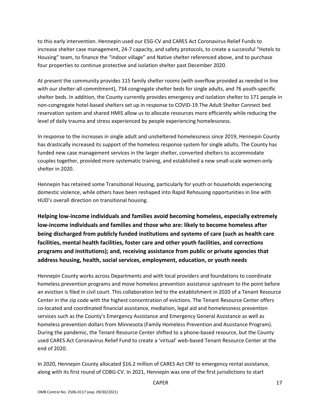to this early intervention. Hennepin used our ESG-CV and CARES Act Coronavirus Relief Funds to increase shelter case management, 24-7 capacity, and safety protocols, to create a successful "Hotels to Housing" team, to finance the "indoor village" and Native shelter referenced above, and to purchase four properties to continue protective and isolation shelter past December 2020.

At present the community provides 115 family shelter rooms (with overflow provided as needed in line with our shelter-all commitment), 734 congregate shelter beds for single adults, and 76 youth-specific shelter beds. In addition, the County currently provides emergency and isolation shelter to 171 people in non-congregate hotel-based shelters set up in response to COVID-19.The Adult Shelter Connect bed reservation system and shared HMIS allow us to allocate resources more efficiently while reducing the level of daily trauma and stress experienced by people experiencing homelessness.

In response to the increases in single adult and unsheltered homelessness since 2019, Hennepin County has drastically increased its support of the homeless response system for single adults. The County has funded new case management services in the larger shelter, converted shelters to accommodate couples together, provided more systematic training, and established a new small-scale women-only shelter in 2020.

Hennepin has retained some Transitional Housing, particularly for youth or households experiencing domestic violence, while others have been reshaped into Rapid Rehousing opportunities in line with HUD's overall direction on transitional housing.

**Helping low-income individuals and families avoid becoming homeless, especially extremely low-income individuals and families and those who are: likely to become homeless after being discharged from publicly funded institutions and systems of care (such as health care facilities, mental health facilities, foster care and other youth facilities, and corrections programs and institutions); and, receiving assistance from public or private agencies that address housing, health, social services, employment, education, or youth needs**

Hennepin County works across Departments and with local providers and foundations to coordinate homeless prevention programs and move homeless prevention assistance upstream to the point before an eviction is filed in civil court. This collaboration led to the establishment in 2020 of a Tenant Resource Center in the zip code with the highest concentration of evictions. The Tenant Resource Center offers co-located and coordinated financial assistance, mediation, legal aid and homelessness prevention services such as the County's Emergency Assistance and Emergency General Assistance as well as homeless prevention dollars from Minnesota (Family Homeless Prevention and Assistance Program). During the pandemic, the Tenant Resource Center shifted to a phone-based resource, but the County used CARES Act Coronavirus Relief Fund to create a 'virtual' web-based Tenant Resource Center at the end of 2020.

In 2020, Hennepin County allocated \$16.2 million of CARES Act CRF to emergency rental assistance, along with its first round of CDBG-CV. In 2021, Hennepin was one of the first jurisdictions to start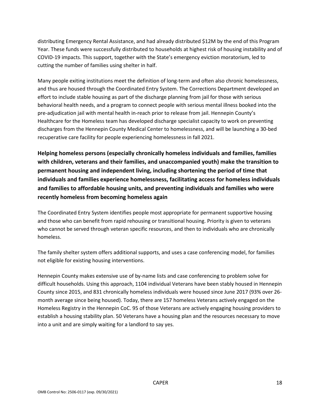distributing Emergency Rental Assistance, and had already distributed \$12M by the end of this Program Year. These funds were successfully distributed to households at highest risk of housing instability and of COVID-19 impacts. This support, together with the State's emergency eviction moratorium, led to cutting the number of families using shelter in half.

Many people exiting institutions meet the definition of long-term and often also chronic homelessness, and thus are housed through the Coordinated Entry System. The Corrections Department developed an effort to include stable housing as part of the discharge planning from jail for those with serious behavioral health needs, and a program to connect people with serious mental illness booked into the pre-adjudication jail with mental health in-reach prior to release from jail. Hennepin County's Healthcare for the Homeless team has developed discharge specialist capacity to work on preventing discharges from the Hennepin County Medical Center to homelessness, and will be launching a 30-bed recuperative care facility for people experiencing homelessness in fall 2021.

**Helping homeless persons (especially chronically homeless individuals and families, families with children, veterans and their families, and unaccompanied youth) make the transition to permanent housing and independent living, including shortening the period of time that individuals and families experience homelessness, facilitating access for homeless individuals and families to affordable housing units, and preventing individuals and families who were recently homeless from becoming homeless again**

The Coordinated Entry System identifies people most appropriate for permanent supportive housing and those who can benefit from rapid rehousing or transitional housing. Priority is given to veterans who cannot be served through veteran specific resources, and then to individuals who are chronically homeless.

The family shelter system offers additional supports, and uses a case conferencing model, for families not eligible for existing housing interventions.

Hennepin County makes extensive use of by-name lists and case conferencing to problem solve for difficult households. Using this approach, 1104 individual Veterans have been stably housed in Hennepin County since 2015, and 831 chronically homeless individuals were housed since June 2017 (93% over 26 month average since being housed). Today, there are 157 homeless Veterans actively engaged on the Homeless Registry in the Hennepin CoC. 95 of those Veterans are actively engaging housing providers to establish a housing stability plan. 50 Veterans have a housing plan and the resources necessary to move into a unit and are simply waiting for a landlord to say yes.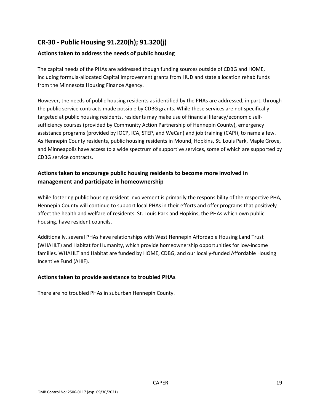### **CR-30 - Public Housing 91.220(h); 91.320(j)**

### **Actions taken to address the needs of public housing**

The capital needs of the PHAs are addressed though funding sources outside of CDBG and HOME, including formula-allocated Capital Improvement grants from HUD and state allocation rehab funds from the Minnesota Housing Finance Agency.

However, the needs of public housing residents as identified by the PHAs are addressed, in part, through the public service contracts made possible by CDBG grants. While these services are not specifically targeted at public housing residents, residents may make use of financial literacy/economic selfsufficiency courses (provided by Community Action Partnership of Hennepin County), emergency assistance programs (provided by IOCP, ICA, STEP, and WeCan) and job training (CAPI), to name a few. As Hennepin County residents, public housing residents in Mound, Hopkins, St. Louis Park, Maple Grove, and Minneapolis have access to a wide spectrum of supportive services, some of which are supported by CDBG service contracts.

### **Actions taken to encourage public housing residents to become more involved in management and participate in homeownership**

While fostering public housing resident involvement is primarily the responsibility of the respective PHA, Hennepin County will continue to support local PHAs in their efforts and offer programs that positively affect the health and welfare of residents. St. Louis Park and Hopkins, the PHAs which own public housing, have resident councils.

Additionally, several PHAs have relationships with West Hennepin Affordable Housing Land Trust (WHAHLT) and Habitat for Humanity, which provide homeownership opportunities for low-income families. WHAHLT and Habitat are funded by HOME, CDBG, and our locally-funded Affordable Housing Incentive Fund (AHIF).

#### **Actions taken to provide assistance to troubled PHAs**

There are no troubled PHAs in suburban Hennepin County.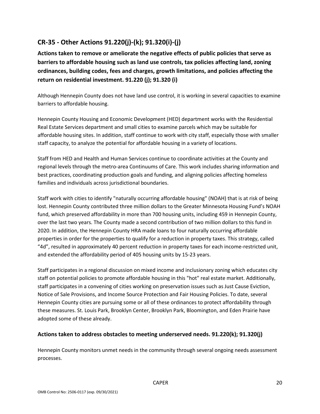### **CR-35 - Other Actions 91.220(j)-(k); 91.320(i)-(j)**

**Actions taken to remove or ameliorate the negative effects of public policies that serve as barriers to affordable housing such as land use controls, tax policies affecting land, zoning ordinances, building codes, fees and charges, growth limitations, and policies affecting the return on residential investment. 91.220 (j); 91.320 (i)**

Although Hennepin County does not have land use control, it is working in several capacities to examine barriers to affordable housing.

Hennepin County Housing and Economic Development (HED) department works with the Residential Real Estate Services department and small cities to examine parcels which may be suitable for affordable housing sites. In addition, staff continue to work with city staff, especially those with smaller staff capacity, to analyze the potential for affordable housing in a variety of locations.

Staff from HED and Health and Human Services continue to coordinate activities at the County and regional levels through the metro-area Continuums of Care. This work includes sharing information and best practices, coordinating production goals and funding, and aligning policies affecting homeless families and individuals across jurisdictional boundaries.

Staff work with cities to identify "naturally occurring affordable housing" (NOAH) that is at risk of being lost. Hennepin County contributed three million dollars to the Greater Minnesota Housing Fund's NOAH fund, which preserved affordability in more than 700 housing units, including 459 in Hennepin County, over the last two years. The County made a second contribution of two million dollars to this fund in 2020. In addition, the Hennepin County HRA made loans to four naturally occurring affordable properties in order for the properties to qualify for a reduction in property taxes. This strategy, called "4d", resulted in approximately 40 percent reduction in property taxes for each income-restricted unit, and extended the affordability period of 405 housing units by 15-23 years.

Staff participates in a regional discussion on mixed income and inclusionary zoning which educates city staff on potential policies to promote affordable housing in this "hot" real estate market. Additionally, staff participates in a convening of cities working on preservation issues such as Just Cause Eviction, Notice of Sale Provisions, and Income Source Protection and Fair Housing Policies. To date, several Hennepin County cities are pursuing some or all of these ordinances to protect affordability through these measures. St. Louis Park, Brooklyn Center, Brooklyn Park, Bloomington, and Eden Prairie have adopted some of these already.

#### **Actions taken to address obstacles to meeting underserved needs. 91.220(k); 91.320(j)**

Hennepin County monitors unmet needs in the community through several ongoing needs assessment processes.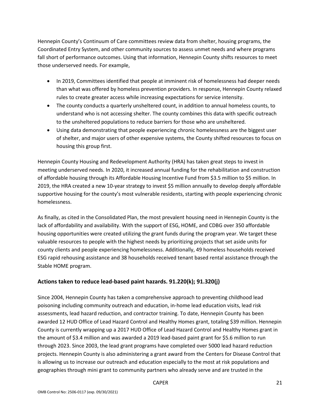Hennepin County's Continuum of Care committees review data from shelter, housing programs, the Coordinated Entry System, and other community sources to assess unmet needs and where programs fall short of performance outcomes. Using that information, Hennepin County shifts resources to meet those underserved needs. For example,

- In 2019, Committees identified that people at imminent risk of homelessness had deeper needs than what was offered by homeless prevention providers. In response, Hennepin County relaxed rules to create greater access while increasing expectations for service intensity.
- The county conducts a quarterly unsheltered count, in addition to annual homeless counts, to understand who is not accessing shelter. The county combines this data with specific outreach to the unsheltered populations to reduce barriers for those who are unsheltered.
- Using data demonstrating that people experiencing chronic homelessness are the biggest user of shelter, and major users of other expensive systems, the County shifted resources to focus on housing this group first.

Hennepin County Housing and Redevelopment Authority (HRA) has taken great steps to invest in meeting underserved needs. In 2020, it increased annual funding for the rehabilitation and construction of affordable housing through its Affordable Housing Incentive Fund from \$3.5 million to \$5 million. In 2019, the HRA created a new 10-year strategy to invest \$5 million annually to develop deeply affordable supportive housing for the county's most vulnerable residents, starting with people experiencing chronic homelessness.

As finally, as cited in the Consolidated Plan, the most prevalent housing need in Hennepin County is the lack of affordability and availability. With the support of ESG, HOME, and CDBG over 350 affordable housing opportunities were created utilizing the grant funds during the program year. We target these valuable resources to people with the highest needs by prioritizing projects that set aside units for county clients and people experiencing homelessness. Additionally, 49 homeless households received ESG rapid rehousing assistance and 38 households received tenant based rental assistance through the Stable HOME program.

#### **Actions taken to reduce lead-based paint hazards. 91.220(k); 91.320(j)**

Since 2004, Hennepin County has taken a comprehensive approach to preventing childhood lead poisoning including community outreach and education, in-home lead education visits, lead risk assessments, lead hazard reduction, and contractor training. To date, Hennepin County has been awarded 12 HUD Office of Lead Hazard Control and Healthy Homes grant, totaling \$39 million. Hennepin County is currently wrapping up a 2017 HUD Office of Lead Hazard Control and Healthy Homes grant in the amount of \$3.4 million and was awarded a 2019 lead-based paint grant for \$5.6 million to run through 2023. Since 2003, the lead grant programs have completed over 5000 lead hazard reduction projects. Hennepin County is also administering a grant award from the Centers for Disease Control that is allowing us to increase our outreach and education especially to the most at risk populations and geographies through mini grant to community partners who already serve and are trusted in the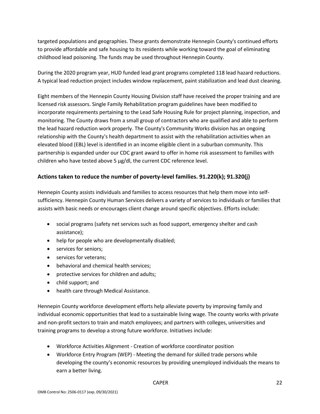targeted populations and geographies. These grants demonstrate Hennepin County's continued efforts to provide affordable and safe housing to its residents while working toward the goal of eliminating childhood lead poisoning. The funds may be used throughout Hennepin County.

During the 2020 program year, HUD funded lead grant programs completed 118 lead hazard reductions. A typical lead reduction project includes window replacement, paint stabilization and lead dust cleaning.

Eight members of the Hennepin County Housing Division staff have received the proper training and are licensed risk assessors. Single Family Rehabilitation program guidelines have been modified to incorporate requirements pertaining to the Lead Safe Housing Rule for project planning, inspection, and monitoring. The County draws from a small group of contractors who are qualified and able to perform the lead hazard reduction work properly. The County's Community Works division has an ongoing relationship with the County's health department to assist with the rehabilitation activities when an elevated blood (EBL) level is identified in an income eligible client in a suburban community. This partnership is expanded under our CDC grant award to offer in home risk assessment to families with children who have tested above 5  $\mu$ g/dl, the current CDC reference level.

### **Actions taken to reduce the number of poverty-level families. 91.220(k); 91.320(j)**

Hennepin County assists individuals and families to access resources that help them move into selfsufficiency. Hennepin County Human Services delivers a variety of services to individuals or families that assists with basic needs or encourages client change around specific objectives. Efforts include:

- social programs (safety net services such as food support, emergency shelter and cash assistance);
- help for people who are developmentally disabled;
- services for seniors;
- services for veterans;
- behavioral and chemical health services;
- protective services for children and adults;
- child support; and
- health care through Medical Assistance.

Hennepin County workforce development efforts help alleviate poverty by improving family and individual economic opportunities that lead to a sustainable living wage. The county works with private and non-profit sectors to train and match employees; and partners with colleges, universities and training programs to develop a strong future workforce. Initiatives include:

- Workforce Activities Alignment Creation of workforce coordinator position
- Workforce Entry Program (WEP) Meeting the demand for skilled trade persons while developing the county's economic resources by providing unemployed individuals the means to earn a better living.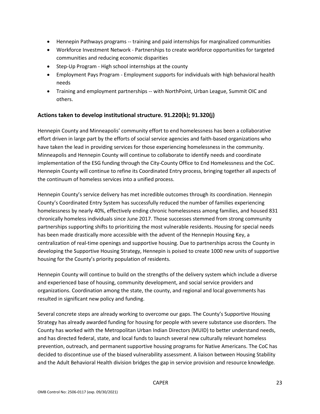- Hennepin Pathways programs -- training and paid internships for marginalized communities
- Workforce Investment Network Partnerships to create workforce opportunities for targeted communities and reducing economic disparities
- Step-Up Program High school internships at the county
- Employment Pays Program Employment supports for individuals with high behavioral health needs
- Training and employment partnerships -- with NorthPoint, Urban League, Summit OIC and others.

#### **Actions taken to develop institutional structure. 91.220(k); 91.320(j)**

Hennepin County and Minneapolis' community effort to end homelessness has been a collaborative effort driven in large part by the efforts of social service agencies and faith-based organizations who have taken the lead in providing services for those experiencing homelessness in the community. Minneapolis and Hennepin County will continue to collaborate to identify needs and coordinate implementation of the ESG funding through the City-County Office to End Homelessness and the CoC. Hennepin County will continue to refine its Coordinated Entry process, bringing together all aspects of the continuum of homeless services into a unified process.

Hennepin County's service delivery has met incredible outcomes through its coordination. Hennepin County's Coordinated Entry System has successfully reduced the number of families experiencing homelessness by nearly 40%, effectively ending chronic homelessness among families, and housed 831 chronically homeless individuals since June 2017. Those successes stemmed from strong community partnerships supporting shifts to prioritizing the most vulnerable residents. Housing for special needs has been made drastically more accessible with the advent of the Hennepin Housing Key, a centralization of real-time openings and supportive housing. Due to partnerships across the County in developing the Supportive Housing Strategy, Hennepin is poised to create 1000 new units of supportive housing for the County's priority population of residents.

Hennepin County will continue to build on the strengths of the delivery system which include a diverse and experienced base of housing, community development, and social service providers and organizations. Coordination among the state, the county, and regional and local governments has resulted in significant new policy and funding.

Several concrete steps are already working to overcome our gaps. The County's Supportive Housing Strategy has already awarded funding for housing for people with severe substance use disorders. The County has worked with the Metropolitan Urban Indian Directors (MUID) to better understand needs, and has directed federal, state, and local funds to launch several new culturally relevant homeless prevention, outreach, and permanent supportive housing programs for Native Americans. The CoC has decided to discontinue use of the biased vulnerability assessment. A liaison between Housing Stability and the Adult Behavioral Health division bridges the gap in service provision and resource knowledge.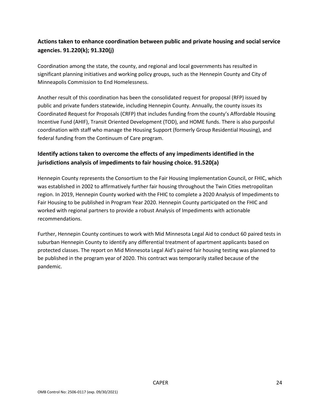### **Actions taken to enhance coordination between public and private housing and social service agencies. 91.220(k); 91.320(j)**

Coordination among the state, the county, and regional and local governments has resulted in significant planning initiatives and working policy groups, such as the Hennepin County and City of Minneapolis Commission to End Homelessness.

Another result of this coordination has been the consolidated request for proposal (RFP) issued by public and private funders statewide, including Hennepin County. Annually, the county issues its Coordinated Request for Proposals (CRFP) that includes funding from the county's Affordable Housing Incentive Fund (AHIF), Transit Oriented Development (TOD), and HOME funds. There is also purposful coordination with staff who manage the Housing Support (formerly Group Residential Housing), and federal funding from the Continuum of Care program.

### **Identify actions taken to overcome the effects of any impediments identified in the jurisdictions analysis of impediments to fair housing choice. 91.520(a)**

Hennepin County represents the Consortium to the Fair Housing Implementation Council, or FHIC, which was established in 2002 to affirmatively further fair housing throughout the Twin Cities metropolitan region. In 2019, Hennepin County worked with the FHIC to complete a 2020 Analysis of Impediments to Fair Housing to be published in Program Year 2020. Hennepin County participated on the FHIC and worked with regional partners to provide a robust Analysis of Impediments with actionable recommendations.

Further, Hennepin County continues to work with Mid Minnesota Legal Aid to conduct 60 paired tests in suburban Hennepin County to identify any differential treatment of apartment applicants based on protected classes. The report on Mid Minnesota Legal Aid's paired fair housing testing was planned to be published in the program year of 2020. This contract was temporarily stalled because of the pandemic.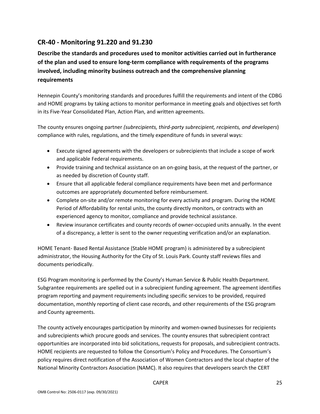### **CR-40 - Monitoring 91.220 and 91.230**

**Describe the standards and procedures used to monitor activities carried out in furtherance of the plan and used to ensure long-term compliance with requirements of the programs involved, including minority business outreach and the comprehensive planning requirements**

Hennepin County's monitoring standards and procedures fulfill the requirements and intent of the CDBG and HOME programs by taking actions to monitor performance in meeting goals and objectives set forth in its Five-Year Consolidated Plan, Action Plan, and written agreements.

The county ensures ongoing partner *(subrecipients, third-party subrecipient, recipients, and developers*) compliance with rules, regulations, and the timely expenditure of funds in several ways:

- Execute signed agreements with the developers or subrecipients that include a scope of work and applicable Federal requirements.
- Provide training and technical assistance on an on-going basis, at the request of the partner, or as needed by discretion of County staff.
- Ensure that all applicable federal compliance requirements have been met and performance outcomes are appropriately documented before reimbursement.
- Complete on-site and/or remote monitoring for every activity and program. During the HOME Period of Affordability for rental units, the county directly monitors, or contracts with an experienced agency to monitor, compliance and provide technical assistance.
- Review insurance certificates and county records of owner-occupied units annually. In the event of a discrepancy, a letter is sent to the owner requesting verification and/or an explanation.

HOME Tenant- Based Rental Assistance (Stable HOME program) is administered by a subrecipient administrator, the Housing Authority for the City of St. Louis Park. County staff reviews files and documents periodically.

ESG Program monitoring is performed by the County's Human Service & Public Health Department. Subgrantee requirements are spelled out in a subrecipient funding agreement. The agreement identifies program reporting and payment requirements including specific services to be provided, required documentation, monthly reporting of client case records, and other requirements of the ESG program and County agreements.

The county actively encourages participation by minority and women-owned businesses for recipients and subrecipients which procure goods and services. The county ensures that subrecipient contract opportunities are incorporated into bid solicitations, requests for proposals, and subrecipient contracts. HOME recipients are requested to follow the Consortium's Policy and Procedures. The Consortium's policy requires direct notification of the Association of Women Contractors and the local chapter of the National Minority Contractors Association (NAMC). It also requires that developers search the CERT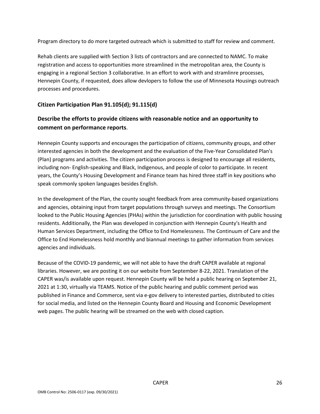Program directory to do more targeted outreach which is submitted to staff for review and comment.

Rehab clients are supplied with Section 3 lists of contractors and are connected to NAMC. To make registration and access to opportunities more streamlined in the metropolitan area, the County is engaging in a regional Section 3 collaborative. In an effort to work with and stramlinre processes, Hennepin County, if requested, does allow devlopers to follow the use of Minnesota Housings outreach processes and procedures.

#### **Citizen Participation Plan 91.105(d); 91.115(d)**

### **Describe the efforts to provide citizens with reasonable notice and an opportunity to comment on performance reports**.

Hennepin County supports and encourages the participation of citizens, community groups, and other interested agencies in both the development and the evaluation of the Five-Year Consolidated Plan's (Plan) programs and activities. The citizen participation process is designed to encourage all residents, including non- English-speaking and Black, Indigenous, and people of color to participate. In recent years, the County's Housing Development and Finance team has hired three staff in key positions who speak commonly spoken languages besides English.

In the development of the Plan, the county sought feedback from area community-based organizations and agencies, obtaining input from target populations through surveys and meetings. The Consortium looked to the Public Housing Agencies (PHAs) within the jurisdiction for coordination with public housing residents. Additionally, the Plan was developed in conjunction with Hennepin County's Health and Human Services Department, including the Office to End Homelessness. The Continuum of Care and the Office to End Homelessness hold monthly and biannual meetings to gather information from services agencies and individuals.

Because of the COVID-19 pandemic, we will not able to have the draft CAPER available at regional libraries. However, we are posting it on our website from September 8-22, 2021. Translation of the CAPER was/is available upon request. Hennepin County will be held a public hearing on September 21, 2021 at 1:30, virtually via TEAMS. Notice of the public hearing and public comment period was published in Finance and Commerce, sent via e-gov delivery to interested parties, distributed to cities for social media, and listed on the Hennepin County Board and Housing and Economic Development web pages. The public hearing will be streamed on the web with closed caption.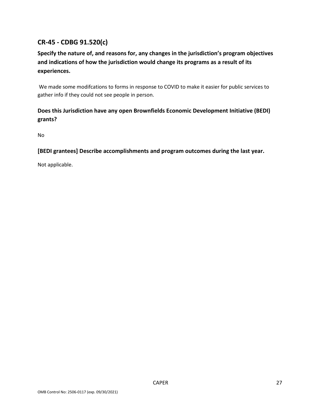### **CR-45 - CDBG 91.520(c)**

### **Specify the nature of, and reasons for, any changes in the jurisdiction's program objectives and indications of how the jurisdiction would change its programs as a result of its experiences.**

We made some modifcations to forms in response to COVID to make it easier for public services to gather info if they could not see people in person.

### **Does this Jurisdiction have any open Brownfields Economic Development Initiative (BEDI) grants?**

No

### **[BEDI grantees] Describe accomplishments and program outcomes during the last year.**

Not applicable.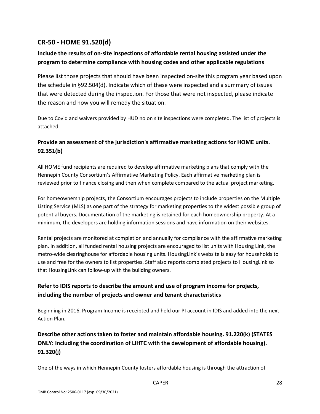### **CR-50 - HOME 91.520(d)**

### **Include the results of on-site inspections of affordable rental housing assisted under the program to determine compliance with housing codes and other applicable regulations**

Please list those projects that should have been inspected on-site this program year based upon the schedule in §92.504(d). Indicate which of these were inspected and a summary of issues that were detected during the inspection. For those that were not inspected, please indicate the reason and how you will remedy the situation.

Due to Covid and waivers provided by HUD no on site inspections were completed. The list of projects is attached.

### **Provide an assessment of the jurisdiction's affirmative marketing actions for HOME units. 92.351(b)**

All HOME fund recipients are required to develop affirmative marketing plans that comply with the Hennepin County Consortium's Affirmative Marketing Policy. Each affirmative marketing plan is reviewed prior to finance closing and then when complete compared to the actual project marketing.

For homeownership projects, the Consortium encourages projects to include properties on the Multiple Listing Service (MLS) as one part of the strategy for marketing properties to the widest possible group of potential buyers. Documentation of the marketing is retained for each homeownership property. At a minimum, the developers are holding information sessions and have information on their websites.

Rental projects are monitored at completion and annually for compliance with the affirmative marketing plan. In addition, all funded rental housing projects are encouraged to list units with Housing Link, the metro-wide clearinghouse for affordable housing units. HousingLink's website is easy for households to use and free for the owners to list properties. Staff also reports completed projects to HousingLink so that HousingLink can follow-up with the building owners.

### **Refer to IDIS reports to describe the amount and use of program income for projects, including the number of projects and owner and tenant characteristics**

Beginning in 2016, Program Income is receipted and held our PI account in IDIS and added into the next Action Plan.

### **Describe other actions taken to foster and maintain affordable housing. 91.220(k) (STATES ONLY: Including the coordination of LIHTC with the development of affordable housing). 91.320(j)**

One of the ways in which Hennepin County fosters affordable housing is through the attraction of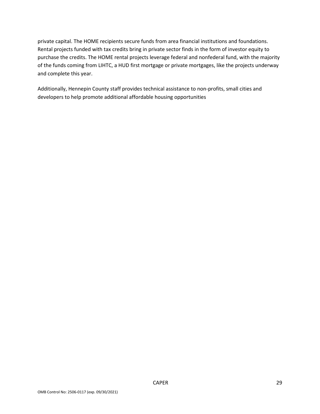private capital. The HOME recipients secure funds from area financial institutions and foundations. Rental projects funded with tax credits bring in private sector finds in the form of investor equity to purchase the credits. The HOME rental projects leverage federal and nonfederal fund, with the majority of the funds coming from LIHTC, a HUD first mortgage or private mortgages, like the projects underway and complete this year.

Additionally, Hennepin County staff provides technical assistance to non-profits, small cities and developers to help promote additional affordable housing opportunities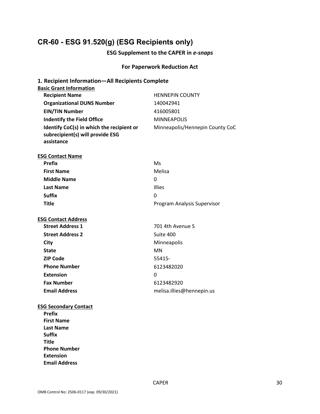## **CR-60 - ESG 91.520(g) (ESG Recipients only)**

### **ESG Supplement to the CAPER in** *e-snaps*

### **For Paperwork Reduction Act**

| 1. Recipient Information-All Recipients Complete |                                 |
|--------------------------------------------------|---------------------------------|
| <b>Basic Grant Information</b>                   |                                 |
| <b>Recipient Name</b>                            | <b>HENNEPIN COUNTY</b>          |
| <b>Organizational DUNS Number</b>                | 140042941                       |
| <b>EIN/TIN Number</b>                            | 416005801                       |
| <b>Indentify the Field Office</b>                | <b>MINNEAPOLIS</b>              |
| Identify CoC(s) in which the recipient or        | Minneapolis/Hennepin County CoC |
| subrecipient(s) will provide ESG<br>assistance   |                                 |
|                                                  |                                 |
| <b>ESG Contact Name</b>                          |                                 |
| <b>Prefix</b>                                    | Ms                              |
| <b>First Name</b>                                | Melisa                          |
| <b>Middle Name</b>                               | 0                               |
| <b>Last Name</b>                                 | <b>Illies</b>                   |
| <b>Suffix</b>                                    | 0                               |
| <b>Title</b>                                     | Program Analysis Supervisor     |
|                                                  |                                 |
| <b>ESG Contact Address</b>                       |                                 |
| <b>Street Address 1</b>                          | 701 4th Avenue S                |
| <b>Street Address 2</b>                          | Suite 400                       |
| City                                             | Minneapolis                     |
| <b>State</b>                                     | <b>MN</b>                       |
| <b>ZIP Code</b>                                  | 55415-                          |
| <b>Phone Number</b>                              | 6123482020                      |
| <b>Extension</b>                                 | 0                               |
| <b>Fax Number</b>                                | 6123482920                      |
| <b>Email Address</b>                             | melisa.illies@hennepin.us       |
| <b>ESG Secondary Contact</b>                     |                                 |
| <b>Prefix</b>                                    |                                 |
| <b>First Name</b>                                |                                 |
| Last Name                                        |                                 |
| <b>Suffix</b>                                    |                                 |
| <b>Title</b>                                     |                                 |
| <b>Phone Number</b>                              |                                 |
| <b>Extension</b>                                 |                                 |
| <b>Email Address</b>                             |                                 |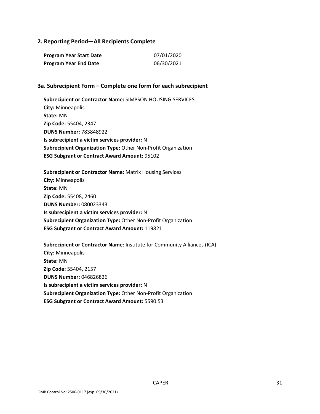#### **2. Reporting Period—All Recipients Complete**

| Program Year Start Date      | 07/01/2020 |
|------------------------------|------------|
| <b>Program Year End Date</b> | 06/30/2021 |

#### **3a. Subrecipient Form – Complete one form for each subrecipient**

**Subrecipient or Contractor Name:** SIMPSON HOUSING SERVICES **City:** Minneapolis **State:** MN **Zip Code:** 55404, 2347 **DUNS Number:** 783848922 **Is subrecipient a victim services provider:** N **Subrecipient Organization Type:** Other Non-Profit Organization **ESG Subgrant or Contract Award Amount:** 95102

**Subrecipient or Contractor Name:** Matrix Housing Services **City:** Minneapolis **State:** MN **Zip Code:** 55408, 2460 **DUNS Number:** 080023343 **Is subrecipient a victim services provider:** N **Subrecipient Organization Type:** Other Non-Profit Organization **ESG Subgrant or Contract Award Amount:** 119821

**Subrecipient or Contractor Name:** Institute for Community Alliances (ICA) **City:** Minneapolis **State:** MN **Zip Code:** 55404, 2157 **DUNS Number:** 046826826 **Is subrecipient a victim services provider:** N **Subrecipient Organization Type:** Other Non-Profit Organization **ESG Subgrant or Contract Award Amount:** 5590.53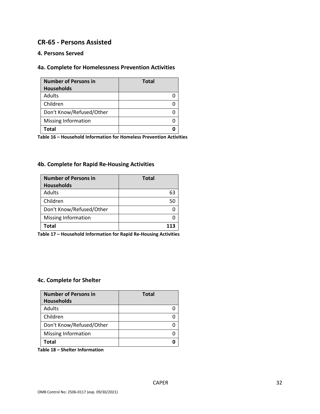### **CR-65 - Persons Assisted**

### **4. Persons Served**

### **4a. Complete for Homelessness Prevention Activities**

| <b>Number of Persons in</b><br><b>Households</b> | <b>Total</b> |
|--------------------------------------------------|--------------|
| Adults                                           |              |
| Children                                         |              |
| Don't Know/Refused/Other                         |              |
| Missing Information                              |              |
| Total                                            |              |

**Table 16 – Household Information for Homeless Prevention Activities**

### **4b. Complete for Rapid Re-Housing Activities**

| <b>Number of Persons in</b> | <b>Total</b> |
|-----------------------------|--------------|
| <b>Households</b>           |              |
| Adults                      | 63           |
| Children                    |              |
| Don't Know/Refused/Other    |              |
| <b>Missing Information</b>  |              |
| Total                       |              |

**Table 17 – Household Information for Rapid Re-Housing Activities**

#### **4c. Complete for Shelter**

| <b>Number of Persons in</b> | <b>Total</b> |
|-----------------------------|--------------|
| <b>Households</b>           |              |
| Adults                      |              |
| Children                    |              |
| Don't Know/Refused/Other    |              |
| <b>Missing Information</b>  |              |
| Total                       |              |

**Table 18 – Shelter Information**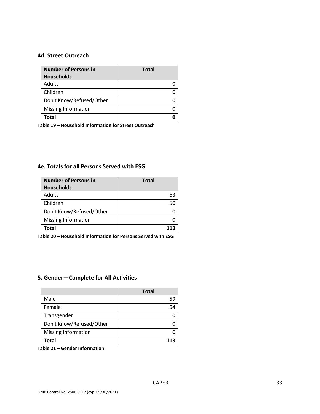#### **4d. Street Outreach**

| <b>Number of Persons in</b> | <b>Total</b> |
|-----------------------------|--------------|
| <b>Households</b>           |              |
| Adults                      |              |
| Children                    |              |
| Don't Know/Refused/Other    |              |
| <b>Missing Information</b>  |              |
| <b>Total</b>                |              |

**Table 19 – Household Information for Street Outreach** 

#### **4e. Totals for all Persons Served with ESG**

| <b>Number of Persons in</b> | <b>Total</b> |
|-----------------------------|--------------|
| <b>Households</b>           |              |
| Adults                      | 63           |
| Children                    | 50           |
| Don't Know/Refused/Other    |              |
| <b>Missing Information</b>  |              |
| Total                       |              |

**Table 20 – Household Information for Persons Served with ESG**

### **5. Gender—Complete for All Activities**

|                            | <b>Total</b> |
|----------------------------|--------------|
| Male                       | 59           |
| Female                     | 54           |
| Transgender                |              |
| Don't Know/Refused/Other   |              |
| <b>Missing Information</b> |              |
| Total                      | 113          |

**Table 21 – Gender Information**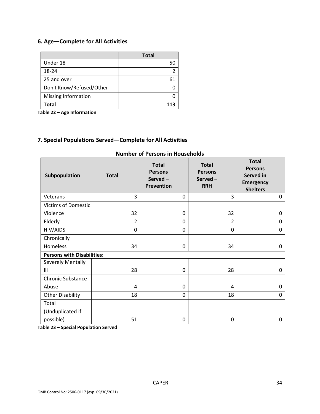### **6. Age—Complete for All Activities**

|                          | <b>Total</b> |
|--------------------------|--------------|
| Under 18                 | 50           |
| 18-24                    | 2            |
| 25 and over              | h            |
| Don't Know/Refused/Other |              |
| Missing Information      |              |
| Total                    |              |

**Table 22 – Age Information**

### **7. Special Populations Served—Complete for All Activities**

| Subpopulation                     | <b>Total</b>   | <b>Total</b><br><b>Persons</b><br>Served-<br><b>Prevention</b> | <b>Total</b><br><b>Persons</b><br>Served-<br><b>RRH</b> | <b>Total</b><br><b>Persons</b><br>Served in<br><b>Emergency</b><br><b>Shelters</b> |
|-----------------------------------|----------------|----------------------------------------------------------------|---------------------------------------------------------|------------------------------------------------------------------------------------|
| Veterans                          | 3              | $\Omega$                                                       | 3                                                       | $\Omega$                                                                           |
| <b>Victims of Domestic</b>        |                |                                                                |                                                         |                                                                                    |
| Violence                          | 32             | 0                                                              | 32                                                      | 0                                                                                  |
| Elderly                           | $\overline{2}$ | 0                                                              | $\overline{2}$                                          | 0                                                                                  |
| HIV/AIDS                          | $\overline{0}$ | $\Omega$                                                       | 0                                                       | 0                                                                                  |
| Chronically                       |                |                                                                |                                                         |                                                                                    |
| Homeless                          | 34             | 0                                                              | 34                                                      | 0                                                                                  |
| <b>Persons with Disabilities:</b> |                |                                                                |                                                         |                                                                                    |
| Severely Mentally                 |                |                                                                |                                                         |                                                                                    |
| III                               | 28             | 0                                                              | 28                                                      | 0                                                                                  |
| <b>Chronic Substance</b>          |                |                                                                |                                                         |                                                                                    |
| Abuse                             | 4              | 0                                                              | 4                                                       | 0                                                                                  |
| <b>Other Disability</b>           | 18             | 0                                                              | 18                                                      | 0                                                                                  |
| Total                             |                |                                                                |                                                         |                                                                                    |
| (Unduplicated if                  |                |                                                                |                                                         |                                                                                    |
| possible)                         | 51             | 0                                                              | 0                                                       | 0                                                                                  |

#### **Number of Persons in Households**

**Table 23 – Special Population Served**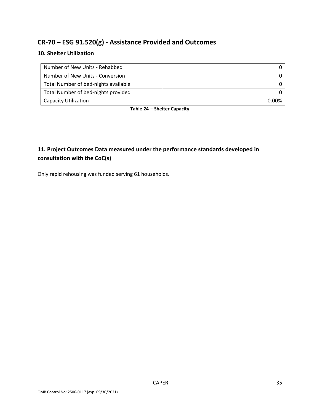### **CR-70 – ESG 91.520(g) - Assistance Provided and Outcomes**

### **10. Shelter Utilization**

| Number of New Units - Rehabbed       |              |
|--------------------------------------|--------------|
| Number of New Units - Conversion     |              |
| Total Number of bed-nights available |              |
| Total Number of bed-nights provided  |              |
| <b>Capacity Utilization</b>          | <u>በ በበ%</u> |

**Table 24 – Shelter Capacity**

### **11. Project Outcomes Data measured under the performance standards developed in consultation with the CoC(s)**

Only rapid rehousing was funded serving 61 households.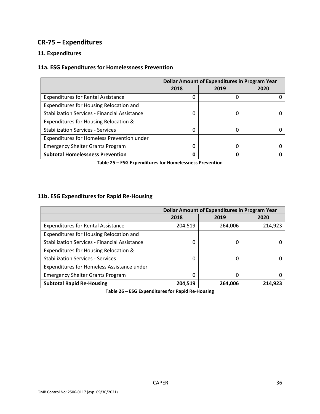### **CR-75 – Expenditures**

### **11. Expenditures**

### **11a. ESG Expenditures for Homelessness Prevention**

|                                                      | <b>Dollar Amount of Expenditures in Program Year</b> |      |      |
|------------------------------------------------------|------------------------------------------------------|------|------|
|                                                      | 2018                                                 | 2019 | 2020 |
| <b>Expenditures for Rental Assistance</b>            | O                                                    | 0    |      |
| Expenditures for Housing Relocation and              |                                                      |      |      |
| <b>Stabilization Services - Financial Assistance</b> | 0                                                    | 0    |      |
| Expenditures for Housing Relocation &                |                                                      |      |      |
| <b>Stabilization Services - Services</b>             | <sup>0</sup>                                         | Ω    |      |
| Expenditures for Homeless Prevention under           |                                                      |      |      |
| <b>Emergency Shelter Grants Program</b>              | 0                                                    | 0    |      |
| <b>Subtotal Homelessness Prevention</b>              |                                                      | 0    |      |

**Table 25 – ESG Expenditures for Homelessness Prevention**

### **11b. ESG Expenditures for Rapid Re-Housing**

|                                                      | <b>Dollar Amount of Expenditures in Program Year</b> |         |         |
|------------------------------------------------------|------------------------------------------------------|---------|---------|
|                                                      | 2018                                                 | 2019    | 2020    |
| <b>Expenditures for Rental Assistance</b>            | 204,519                                              | 264,006 | 214,923 |
| Expenditures for Housing Relocation and              |                                                      |         |         |
| <b>Stabilization Services - Financial Assistance</b> | 0                                                    | 0       |         |
| Expenditures for Housing Relocation &                |                                                      |         |         |
| <b>Stabilization Services - Services</b>             | 0                                                    | 0       |         |
| Expenditures for Homeless Assistance under           |                                                      |         |         |
| <b>Emergency Shelter Grants Program</b>              | 0                                                    | 0       |         |
| <b>Subtotal Rapid Re-Housing</b>                     | 204,519                                              | 264,006 | 214,923 |

**Table 26 – ESG Expenditures for Rapid Re-Housing**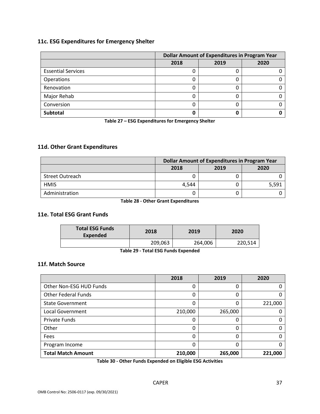### **11c. ESG Expenditures for Emergency Shelter**

|                           | <b>Dollar Amount of Expenditures in Program Year</b> |      |      |
|---------------------------|------------------------------------------------------|------|------|
|                           | 2018                                                 | 2019 | 2020 |
| <b>Essential Services</b> |                                                      |      |      |
| Operations                |                                                      |      |      |
| Renovation                |                                                      | 0    |      |
| Major Rehab               |                                                      | O    |      |
| Conversion                |                                                      |      |      |
| Subtotal                  |                                                      |      |      |

**Table 27 – ESG Expenditures for Emergency Shelter**

### **11d. Other Grant Expenditures**

|                        | Dollar Amount of Expenditures in Program Year |      |       |
|------------------------|-----------------------------------------------|------|-------|
|                        | 2018                                          | 2019 | 2020  |
| <b>Street Outreach</b> |                                               |      |       |
| <b>HMIS</b>            | 4.544                                         |      | 5,591 |
| Administration         |                                               |      |       |

**Table 28 - Other Grant Expenditures**

#### **11e. Total ESG Grant Funds**

| <b>Total ESG Funds</b><br>Expended | 2018    | 2019    | 2020    |  |  |
|------------------------------------|---------|---------|---------|--|--|
|                                    | 209,063 | 264,006 | 220,514 |  |  |
| _ _ _ _ . _ _ _<br>$\sim$ $\sim$   |         |         |         |  |  |

**Table 29 - Total ESG Funds Expended**

#### **11f. Match Source**

|                            | 2018    | 2019    | 2020    |
|----------------------------|---------|---------|---------|
| Other Non-ESG HUD Funds    | 0       | 0       |         |
| <b>Other Federal Funds</b> | 0       | 0       |         |
| <b>State Government</b>    |         | 0       | 221,000 |
| <b>Local Government</b>    | 210,000 | 265,000 |         |
| <b>Private Funds</b>       | 0       | 0       |         |
| Other                      | 0       | 0       |         |
| Fees                       | 0       | 0       |         |
| Program Income             | O       | 0       |         |
| <b>Total Match Amount</b>  | 210,000 | 265,000 | 221,000 |

**Table 30 - Other Funds Expended on Eligible ESG Activities**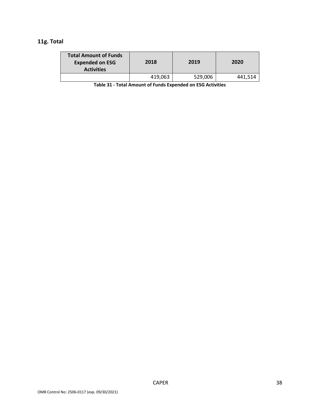### **11g. Total**

| <b>Total Amount of Funds</b><br><b>Expended on ESG</b><br><b>Activities</b> | 2018    | 2019    | 2020    |
|-----------------------------------------------------------------------------|---------|---------|---------|
|                                                                             | 419,063 | 529,006 | 441,514 |

**Table 31 - Total Amount of Funds Expended on ESG Activities**